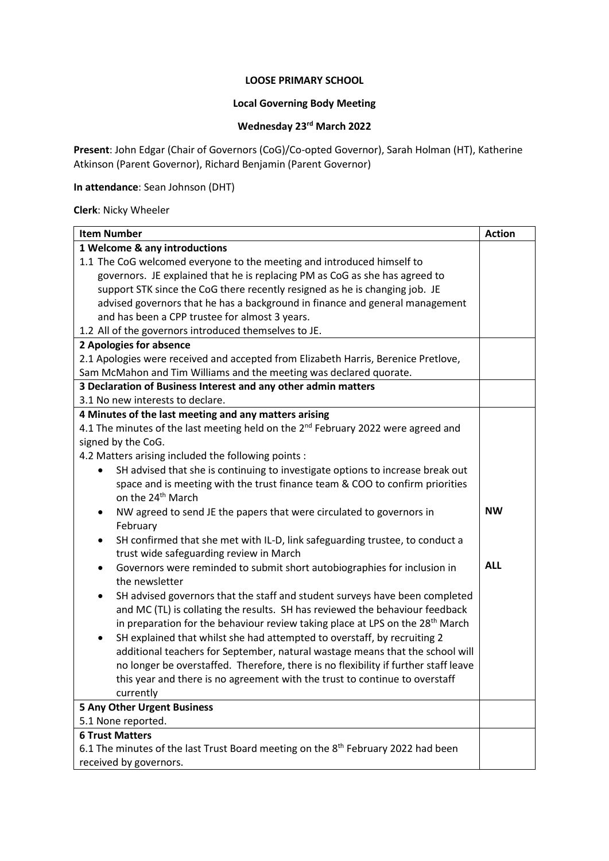#### **LOOSE PRIMARY SCHOOL**

## **Local Governing Body Meeting**

#### **Wednesday 23 rd March 2022**

**Present**: John Edgar (Chair of Governors (CoG)/Co-opted Governor), Sarah Holman (HT), Katherine Atkinson (Parent Governor), Richard Benjamin (Parent Governor)

## **In attendance**: Sean Johnson (DHT)

#### **Clerk**: Nicky Wheeler

| <b>Item Number</b>                                                                                            |            |  |
|---------------------------------------------------------------------------------------------------------------|------------|--|
| 1 Welcome & any introductions                                                                                 |            |  |
| 1.1 The CoG welcomed everyone to the meeting and introduced himself to                                        |            |  |
| governors. JE explained that he is replacing PM as CoG as she has agreed to                                   |            |  |
| support STK since the CoG there recently resigned as he is changing job. JE                                   |            |  |
| advised governors that he has a background in finance and general management                                  |            |  |
| and has been a CPP trustee for almost 3 years.                                                                |            |  |
| 1.2 All of the governors introduced themselves to JE.                                                         |            |  |
| 2 Apologies for absence                                                                                       |            |  |
| 2.1 Apologies were received and accepted from Elizabeth Harris, Berenice Pretlove,                            |            |  |
| Sam McMahon and Tim Williams and the meeting was declared quorate.                                            |            |  |
| 3 Declaration of Business Interest and any other admin matters                                                |            |  |
| 3.1 No new interests to declare.                                                                              |            |  |
| 4 Minutes of the last meeting and any matters arising                                                         |            |  |
| 4.1 The minutes of the last meeting held on the 2 <sup>nd</sup> February 2022 were agreed and                 |            |  |
| signed by the CoG.                                                                                            |            |  |
| 4.2 Matters arising included the following points :                                                           |            |  |
| SH advised that she is continuing to investigate options to increase break out<br>$\bullet$                   |            |  |
| space and is meeting with the trust finance team & COO to confirm priorities<br>on the 24 <sup>th</sup> March |            |  |
| NW agreed to send JE the papers that were circulated to governors in<br>٠                                     | <b>NW</b>  |  |
| February                                                                                                      |            |  |
| SH confirmed that she met with IL-D, link safeguarding trustee, to conduct a<br>$\bullet$                     |            |  |
| trust wide safeguarding review in March                                                                       |            |  |
| Governors were reminded to submit short autobiographies for inclusion in<br>٠                                 | <b>ALL</b> |  |
| the newsletter                                                                                                |            |  |
| SH advised governors that the staff and student surveys have been completed<br>$\bullet$                      |            |  |
| and MC (TL) is collating the results. SH has reviewed the behaviour feedback                                  |            |  |
| in preparation for the behaviour review taking place at LPS on the 28 <sup>th</sup> March                     |            |  |
| SH explained that whilst she had attempted to overstaff, by recruiting 2<br>$\bullet$                         |            |  |
| additional teachers for September, natural wastage means that the school will                                 |            |  |
| no longer be overstaffed. Therefore, there is no flexibility if further staff leave                           |            |  |
| this year and there is no agreement with the trust to continue to overstaff                                   |            |  |
| currently                                                                                                     |            |  |
| <b>5 Any Other Urgent Business</b>                                                                            |            |  |
| 5.1 None reported.                                                                                            |            |  |
| <b>6 Trust Matters</b>                                                                                        |            |  |
| 6.1 The minutes of the last Trust Board meeting on the 8 <sup>th</sup> February 2022 had been                 |            |  |
| received by governors.                                                                                        |            |  |
|                                                                                                               |            |  |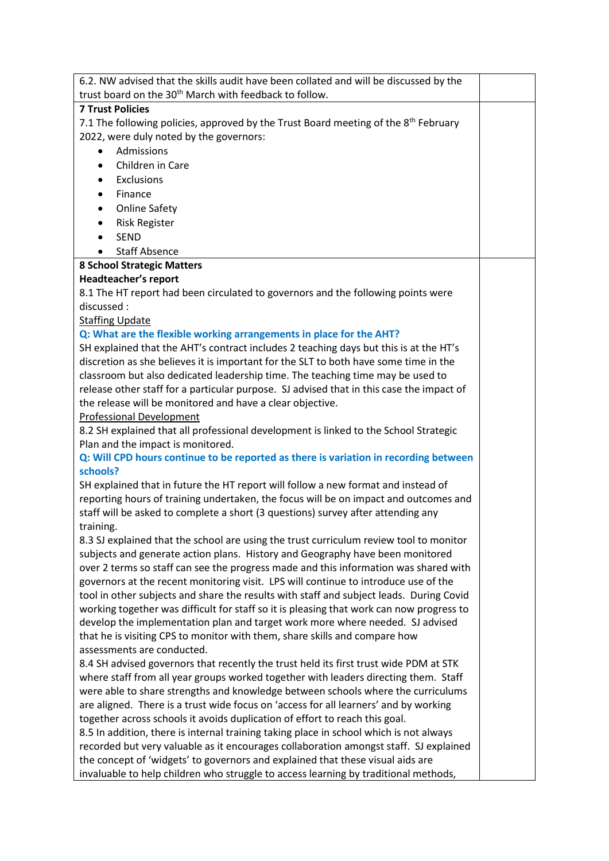| trust board on the 30 <sup>th</sup> March with feedback to follow.<br><b>7 Trust Policies</b><br>7.1 The following policies, approved by the Trust Board meeting of the 8 <sup>th</sup> February<br>2022, were duly noted by the governors:<br>Admissions<br>$\bullet$<br>Children in Care<br>$\bullet$<br>Exclusions<br>$\bullet$<br>Finance<br>$\bullet$<br><b>Online Safety</b><br>$\bullet$<br><b>Risk Register</b><br>$\bullet$<br><b>SEND</b><br>$\bullet$<br><b>Staff Absence</b><br><b>8 School Strategic Matters</b><br><b>Headteacher's report</b><br>8.1 The HT report had been circulated to governors and the following points were<br>discussed:<br><b>Staffing Update</b><br>Q: What are the flexible working arrangements in place for the AHT?<br>SH explained that the AHT's contract includes 2 teaching days but this is at the HT's<br>discretion as she believes it is important for the SLT to both have some time in the<br>classroom but also dedicated leadership time. The teaching time may be used to |
|------------------------------------------------------------------------------------------------------------------------------------------------------------------------------------------------------------------------------------------------------------------------------------------------------------------------------------------------------------------------------------------------------------------------------------------------------------------------------------------------------------------------------------------------------------------------------------------------------------------------------------------------------------------------------------------------------------------------------------------------------------------------------------------------------------------------------------------------------------------------------------------------------------------------------------------------------------------------------------------------------------------------------------|
|                                                                                                                                                                                                                                                                                                                                                                                                                                                                                                                                                                                                                                                                                                                                                                                                                                                                                                                                                                                                                                    |
|                                                                                                                                                                                                                                                                                                                                                                                                                                                                                                                                                                                                                                                                                                                                                                                                                                                                                                                                                                                                                                    |
|                                                                                                                                                                                                                                                                                                                                                                                                                                                                                                                                                                                                                                                                                                                                                                                                                                                                                                                                                                                                                                    |
|                                                                                                                                                                                                                                                                                                                                                                                                                                                                                                                                                                                                                                                                                                                                                                                                                                                                                                                                                                                                                                    |
|                                                                                                                                                                                                                                                                                                                                                                                                                                                                                                                                                                                                                                                                                                                                                                                                                                                                                                                                                                                                                                    |
|                                                                                                                                                                                                                                                                                                                                                                                                                                                                                                                                                                                                                                                                                                                                                                                                                                                                                                                                                                                                                                    |
|                                                                                                                                                                                                                                                                                                                                                                                                                                                                                                                                                                                                                                                                                                                                                                                                                                                                                                                                                                                                                                    |
|                                                                                                                                                                                                                                                                                                                                                                                                                                                                                                                                                                                                                                                                                                                                                                                                                                                                                                                                                                                                                                    |
|                                                                                                                                                                                                                                                                                                                                                                                                                                                                                                                                                                                                                                                                                                                                                                                                                                                                                                                                                                                                                                    |
|                                                                                                                                                                                                                                                                                                                                                                                                                                                                                                                                                                                                                                                                                                                                                                                                                                                                                                                                                                                                                                    |
|                                                                                                                                                                                                                                                                                                                                                                                                                                                                                                                                                                                                                                                                                                                                                                                                                                                                                                                                                                                                                                    |
|                                                                                                                                                                                                                                                                                                                                                                                                                                                                                                                                                                                                                                                                                                                                                                                                                                                                                                                                                                                                                                    |
|                                                                                                                                                                                                                                                                                                                                                                                                                                                                                                                                                                                                                                                                                                                                                                                                                                                                                                                                                                                                                                    |
|                                                                                                                                                                                                                                                                                                                                                                                                                                                                                                                                                                                                                                                                                                                                                                                                                                                                                                                                                                                                                                    |
|                                                                                                                                                                                                                                                                                                                                                                                                                                                                                                                                                                                                                                                                                                                                                                                                                                                                                                                                                                                                                                    |
|                                                                                                                                                                                                                                                                                                                                                                                                                                                                                                                                                                                                                                                                                                                                                                                                                                                                                                                                                                                                                                    |
|                                                                                                                                                                                                                                                                                                                                                                                                                                                                                                                                                                                                                                                                                                                                                                                                                                                                                                                                                                                                                                    |
|                                                                                                                                                                                                                                                                                                                                                                                                                                                                                                                                                                                                                                                                                                                                                                                                                                                                                                                                                                                                                                    |
|                                                                                                                                                                                                                                                                                                                                                                                                                                                                                                                                                                                                                                                                                                                                                                                                                                                                                                                                                                                                                                    |
|                                                                                                                                                                                                                                                                                                                                                                                                                                                                                                                                                                                                                                                                                                                                                                                                                                                                                                                                                                                                                                    |
|                                                                                                                                                                                                                                                                                                                                                                                                                                                                                                                                                                                                                                                                                                                                                                                                                                                                                                                                                                                                                                    |
| release other staff for a particular purpose. SJ advised that in this case the impact of                                                                                                                                                                                                                                                                                                                                                                                                                                                                                                                                                                                                                                                                                                                                                                                                                                                                                                                                           |
| the release will be monitored and have a clear objective.                                                                                                                                                                                                                                                                                                                                                                                                                                                                                                                                                                                                                                                                                                                                                                                                                                                                                                                                                                          |
| <b>Professional Development</b>                                                                                                                                                                                                                                                                                                                                                                                                                                                                                                                                                                                                                                                                                                                                                                                                                                                                                                                                                                                                    |
| 8.2 SH explained that all professional development is linked to the School Strategic                                                                                                                                                                                                                                                                                                                                                                                                                                                                                                                                                                                                                                                                                                                                                                                                                                                                                                                                               |
| Plan and the impact is monitored.                                                                                                                                                                                                                                                                                                                                                                                                                                                                                                                                                                                                                                                                                                                                                                                                                                                                                                                                                                                                  |
| Q: Will CPD hours continue to be reported as there is variation in recording between                                                                                                                                                                                                                                                                                                                                                                                                                                                                                                                                                                                                                                                                                                                                                                                                                                                                                                                                               |
| schools?                                                                                                                                                                                                                                                                                                                                                                                                                                                                                                                                                                                                                                                                                                                                                                                                                                                                                                                                                                                                                           |
| SH explained that in future the HT report will follow a new format and instead of                                                                                                                                                                                                                                                                                                                                                                                                                                                                                                                                                                                                                                                                                                                                                                                                                                                                                                                                                  |
| reporting hours of training undertaken, the focus will be on impact and outcomes and                                                                                                                                                                                                                                                                                                                                                                                                                                                                                                                                                                                                                                                                                                                                                                                                                                                                                                                                               |
| staff will be asked to complete a short (3 questions) survey after attending any                                                                                                                                                                                                                                                                                                                                                                                                                                                                                                                                                                                                                                                                                                                                                                                                                                                                                                                                                   |
| training.                                                                                                                                                                                                                                                                                                                                                                                                                                                                                                                                                                                                                                                                                                                                                                                                                                                                                                                                                                                                                          |
| 8.3 SJ explained that the school are using the trust curriculum review tool to monitor                                                                                                                                                                                                                                                                                                                                                                                                                                                                                                                                                                                                                                                                                                                                                                                                                                                                                                                                             |
| subjects and generate action plans. History and Geography have been monitored                                                                                                                                                                                                                                                                                                                                                                                                                                                                                                                                                                                                                                                                                                                                                                                                                                                                                                                                                      |
| over 2 terms so staff can see the progress made and this information was shared with                                                                                                                                                                                                                                                                                                                                                                                                                                                                                                                                                                                                                                                                                                                                                                                                                                                                                                                                               |
| governors at the recent monitoring visit. LPS will continue to introduce use of the                                                                                                                                                                                                                                                                                                                                                                                                                                                                                                                                                                                                                                                                                                                                                                                                                                                                                                                                                |
| tool in other subjects and share the results with staff and subject leads. During Covid                                                                                                                                                                                                                                                                                                                                                                                                                                                                                                                                                                                                                                                                                                                                                                                                                                                                                                                                            |
| working together was difficult for staff so it is pleasing that work can now progress to                                                                                                                                                                                                                                                                                                                                                                                                                                                                                                                                                                                                                                                                                                                                                                                                                                                                                                                                           |
| develop the implementation plan and target work more where needed. SJ advised                                                                                                                                                                                                                                                                                                                                                                                                                                                                                                                                                                                                                                                                                                                                                                                                                                                                                                                                                      |
| that he is visiting CPS to monitor with them, share skills and compare how                                                                                                                                                                                                                                                                                                                                                                                                                                                                                                                                                                                                                                                                                                                                                                                                                                                                                                                                                         |
| assessments are conducted.                                                                                                                                                                                                                                                                                                                                                                                                                                                                                                                                                                                                                                                                                                                                                                                                                                                                                                                                                                                                         |
| 8.4 SH advised governors that recently the trust held its first trust wide PDM at STK                                                                                                                                                                                                                                                                                                                                                                                                                                                                                                                                                                                                                                                                                                                                                                                                                                                                                                                                              |
| where staff from all year groups worked together with leaders directing them. Staff                                                                                                                                                                                                                                                                                                                                                                                                                                                                                                                                                                                                                                                                                                                                                                                                                                                                                                                                                |
| were able to share strengths and knowledge between schools where the curriculums                                                                                                                                                                                                                                                                                                                                                                                                                                                                                                                                                                                                                                                                                                                                                                                                                                                                                                                                                   |
| are aligned. There is a trust wide focus on 'access for all learners' and by working                                                                                                                                                                                                                                                                                                                                                                                                                                                                                                                                                                                                                                                                                                                                                                                                                                                                                                                                               |
| together across schools it avoids duplication of effort to reach this goal.                                                                                                                                                                                                                                                                                                                                                                                                                                                                                                                                                                                                                                                                                                                                                                                                                                                                                                                                                        |
| 8.5 In addition, there is internal training taking place in school which is not always                                                                                                                                                                                                                                                                                                                                                                                                                                                                                                                                                                                                                                                                                                                                                                                                                                                                                                                                             |
| recorded but very valuable as it encourages collaboration amongst staff. SJ explained                                                                                                                                                                                                                                                                                                                                                                                                                                                                                                                                                                                                                                                                                                                                                                                                                                                                                                                                              |
| the concept of 'widgets' to governors and explained that these visual aids are                                                                                                                                                                                                                                                                                                                                                                                                                                                                                                                                                                                                                                                                                                                                                                                                                                                                                                                                                     |
| invaluable to help children who struggle to access learning by traditional methods,                                                                                                                                                                                                                                                                                                                                                                                                                                                                                                                                                                                                                                                                                                                                                                                                                                                                                                                                                |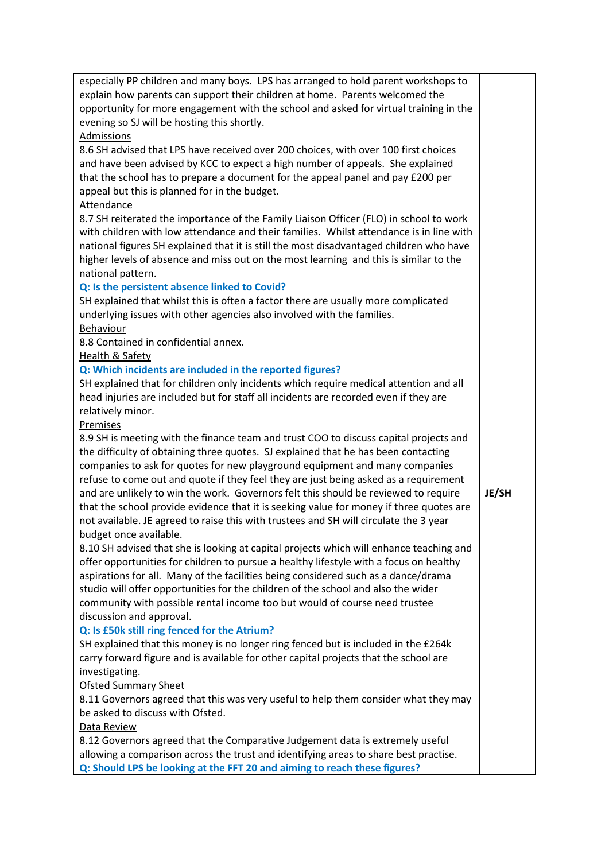| especially PP children and many boys. LPS has arranged to hold parent workshops to      |              |  |  |  |  |
|-----------------------------------------------------------------------------------------|--------------|--|--|--|--|
| explain how parents can support their children at home. Parents welcomed the            |              |  |  |  |  |
| opportunity for more engagement with the school and asked for virtual training in the   |              |  |  |  |  |
| evening so SJ will be hosting this shortly.                                             |              |  |  |  |  |
| Admissions                                                                              |              |  |  |  |  |
| 8.6 SH advised that LPS have received over 200 choices, with over 100 first choices     |              |  |  |  |  |
| and have been advised by KCC to expect a high number of appeals. She explained          |              |  |  |  |  |
| that the school has to prepare a document for the appeal panel and pay £200 per         |              |  |  |  |  |
| appeal but this is planned for in the budget.                                           |              |  |  |  |  |
| <b>Attendance</b>                                                                       |              |  |  |  |  |
| 8.7 SH reiterated the importance of the Family Liaison Officer (FLO) in school to work  |              |  |  |  |  |
| with children with low attendance and their families. Whilst attendance is in line with |              |  |  |  |  |
| national figures SH explained that it is still the most disadvantaged children who have |              |  |  |  |  |
| higher levels of absence and miss out on the most learning and this is similar to the   |              |  |  |  |  |
| national pattern.                                                                       |              |  |  |  |  |
| Q: Is the persistent absence linked to Covid?                                           |              |  |  |  |  |
|                                                                                         |              |  |  |  |  |
| SH explained that whilst this is often a factor there are usually more complicated      |              |  |  |  |  |
| underlying issues with other agencies also involved with the families.                  |              |  |  |  |  |
| <b>Behaviour</b>                                                                        |              |  |  |  |  |
| 8.8 Contained in confidential annex.                                                    |              |  |  |  |  |
| <b>Health &amp; Safety</b>                                                              |              |  |  |  |  |
| Q: Which incidents are included in the reported figures?                                |              |  |  |  |  |
| SH explained that for children only incidents which require medical attention and all   |              |  |  |  |  |
| head injuries are included but for staff all incidents are recorded even if they are    |              |  |  |  |  |
| relatively minor.                                                                       |              |  |  |  |  |
| Premises                                                                                |              |  |  |  |  |
| 8.9 SH is meeting with the finance team and trust COO to discuss capital projects and   |              |  |  |  |  |
| the difficulty of obtaining three quotes. SJ explained that he has been contacting      |              |  |  |  |  |
| companies to ask for quotes for new playground equipment and many companies             |              |  |  |  |  |
| refuse to come out and quote if they feel they are just being asked as a requirement    |              |  |  |  |  |
| and are unlikely to win the work. Governors felt this should be reviewed to require     | <b>JE/SH</b> |  |  |  |  |
| that the school provide evidence that it is seeking value for money if three quotes are |              |  |  |  |  |
| not available. JE agreed to raise this with trustees and SH will circulate the 3 year   |              |  |  |  |  |
| budget once available.                                                                  |              |  |  |  |  |
| 8.10 SH advised that she is looking at capital projects which will enhance teaching and |              |  |  |  |  |
| offer opportunities for children to pursue a healthy lifestyle with a focus on healthy  |              |  |  |  |  |
| aspirations for all. Many of the facilities being considered such as a dance/drama      |              |  |  |  |  |
| studio will offer opportunities for the children of the school and also the wider       |              |  |  |  |  |
| community with possible rental income too but would of course need trustee              |              |  |  |  |  |
| discussion and approval.                                                                |              |  |  |  |  |
| Q: Is £50k still ring fenced for the Atrium?                                            |              |  |  |  |  |
| SH explained that this money is no longer ring fenced but is included in the £264k      |              |  |  |  |  |
| carry forward figure and is available for other capital projects that the school are    |              |  |  |  |  |
| investigating.                                                                          |              |  |  |  |  |
| <b>Ofsted Summary Sheet</b>                                                             |              |  |  |  |  |
| 8.11 Governors agreed that this was very useful to help them consider what they may     |              |  |  |  |  |
| be asked to discuss with Ofsted.                                                        |              |  |  |  |  |
|                                                                                         |              |  |  |  |  |
| Data Review                                                                             |              |  |  |  |  |
| 8.12 Governors agreed that the Comparative Judgement data is extremely useful           |              |  |  |  |  |
| allowing a comparison across the trust and identifying areas to share best practise.    |              |  |  |  |  |
| Q: Should LPS be looking at the FFT 20 and aiming to reach these figures?               |              |  |  |  |  |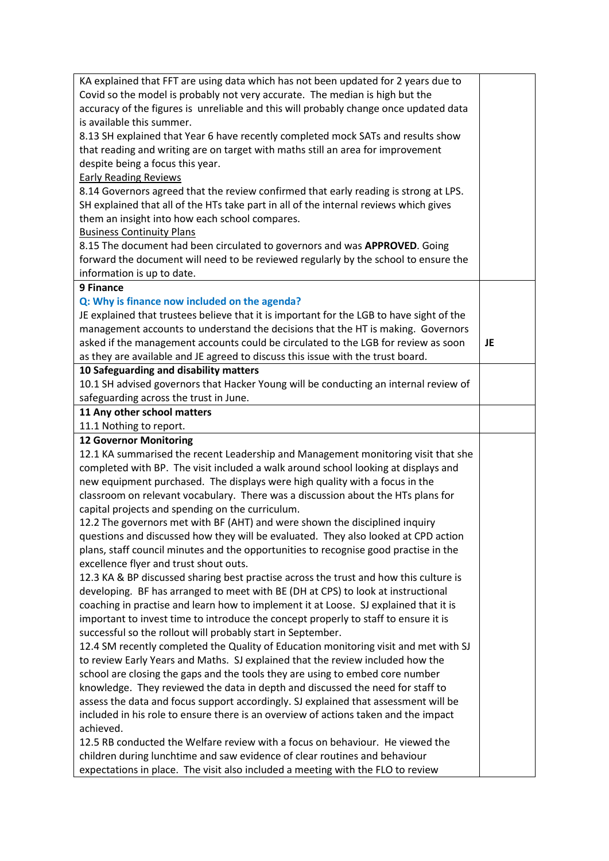| KA explained that FFT are using data which has not been updated for 2 years due to       |     |  |  |  |
|------------------------------------------------------------------------------------------|-----|--|--|--|
| Covid so the model is probably not very accurate. The median is high but the             |     |  |  |  |
| accuracy of the figures is unreliable and this will probably change once updated data    |     |  |  |  |
| is available this summer.                                                                |     |  |  |  |
| 8.13 SH explained that Year 6 have recently completed mock SATs and results show         |     |  |  |  |
| that reading and writing are on target with maths still an area for improvement          |     |  |  |  |
| despite being a focus this year.                                                         |     |  |  |  |
| <b>Early Reading Reviews</b>                                                             |     |  |  |  |
| 8.14 Governors agreed that the review confirmed that early reading is strong at LPS.     |     |  |  |  |
| SH explained that all of the HTs take part in all of the internal reviews which gives    |     |  |  |  |
| them an insight into how each school compares.                                           |     |  |  |  |
| <b>Business Continuity Plans</b>                                                         |     |  |  |  |
| 8.15 The document had been circulated to governors and was APPROVED. Going               |     |  |  |  |
| forward the document will need to be reviewed regularly by the school to ensure the      |     |  |  |  |
| information is up to date.                                                               |     |  |  |  |
| 9 Finance                                                                                |     |  |  |  |
| Q: Why is finance now included on the agenda?                                            |     |  |  |  |
| JE explained that trustees believe that it is important for the LGB to have sight of the |     |  |  |  |
| management accounts to understand the decisions that the HT is making. Governors         |     |  |  |  |
| asked if the management accounts could be circulated to the LGB for review as soon       | JE. |  |  |  |
| as they are available and JE agreed to discuss this issue with the trust board.          |     |  |  |  |
| 10 Safeguarding and disability matters                                                   |     |  |  |  |
| 10.1 SH advised governors that Hacker Young will be conducting an internal review of     |     |  |  |  |
| safeguarding across the trust in June.                                                   |     |  |  |  |
| 11 Any other school matters                                                              |     |  |  |  |
| 11.1 Nothing to report.<br><b>12 Governor Monitoring</b>                                 |     |  |  |  |
| 12.1 KA summarised the recent Leadership and Management monitoring visit that she        |     |  |  |  |
| completed with BP. The visit included a walk around school looking at displays and       |     |  |  |  |
| new equipment purchased. The displays were high quality with a focus in the              |     |  |  |  |
| classroom on relevant vocabulary. There was a discussion about the HTs plans for         |     |  |  |  |
| capital projects and spending on the curriculum.                                         |     |  |  |  |
| 12.2 The governors met with BF (AHT) and were shown the disciplined inquiry              |     |  |  |  |
| questions and discussed how they will be evaluated. They also looked at CPD action       |     |  |  |  |
| plans, staff council minutes and the opportunities to recognise good practise in the     |     |  |  |  |
| excellence flyer and trust shout outs.                                                   |     |  |  |  |
| 12.3 KA & BP discussed sharing best practise across the trust and how this culture is    |     |  |  |  |
| developing. BF has arranged to meet with BE (DH at CPS) to look at instructional         |     |  |  |  |
| coaching in practise and learn how to implement it at Loose. SJ explained that it is     |     |  |  |  |
| important to invest time to introduce the concept properly to staff to ensure it is      |     |  |  |  |
| successful so the rollout will probably start in September.                              |     |  |  |  |
| 12.4 SM recently completed the Quality of Education monitoring visit and met with SJ     |     |  |  |  |
| to review Early Years and Maths. SJ explained that the review included how the           |     |  |  |  |
| school are closing the gaps and the tools they are using to embed core number            |     |  |  |  |
| knowledge. They reviewed the data in depth and discussed the need for staff to           |     |  |  |  |
| assess the data and focus support accordingly. SJ explained that assessment will be      |     |  |  |  |
| included in his role to ensure there is an overview of actions taken and the impact      |     |  |  |  |
| achieved.                                                                                |     |  |  |  |
| 12.5 RB conducted the Welfare review with a focus on behaviour. He viewed the            |     |  |  |  |
| children during lunchtime and saw evidence of clear routines and behaviour               |     |  |  |  |
| expectations in place. The visit also included a meeting with the FLO to review          |     |  |  |  |